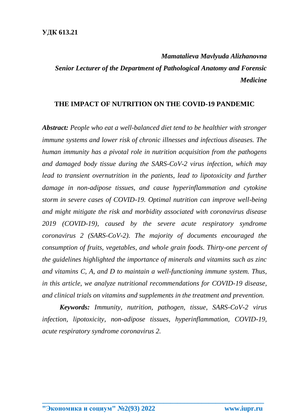## *Mamatalieva Mavlyuda Alizhanovna Senior Lecturer of the Department of Pathological Anatomy and Forensic Medicine*

## **THE IMPACT OF NUTRITION ON THE COVID-19 PANDEMIC**

*Abstract: People who eat a well-balanced diet tend to be healthier with stronger immune systems and lower risk of chronic illnesses and infectious diseases. The human immunity has a pivotal role in nutrition acquisition from the pathogens and damaged body tissue during the SARS-CoV-2 virus infection, which may lead to transient overnutrition in the patients, lead to lipotoxicity and further damage in non-adipose tissues, and cause hyperinflammation and cytokine storm in severe cases of COVID-19. Optimal nutrition can improve well-being and might mitigate the risk and morbidity associated with coronavirus disease 2019 (COVID-19), caused by the severe acute respiratory syndrome coronavirus 2 (SARS-CoV-2). The majority of documents encouraged the consumption of fruits, vegetables, and whole grain foods. Thirty-one percent of the guidelines highlighted the importance of minerals and vitamins such as zinc and vitamins C, A, and D to maintain a well-functioning immune system. Thus, in this article, we analyze nutritional recommendations for COVID-19 disease, and clinical trials on vitamins and supplements in the treatment and prevention.*

*Keywords: Immunity, nutrition, pathogen, tissue, SARS-CoV-2 virus infection, lipotoxicity, non-adipose tissues, hyperinflammation, COVID-19, acute respiratory syndrome coronavirus 2.*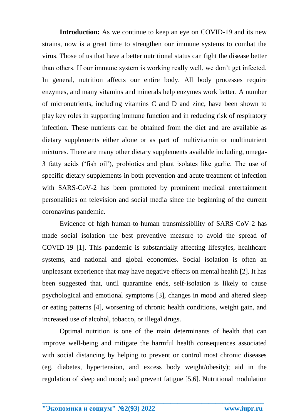**Introduction:** As we continue to keep an eye on COVID-19 and its new strains, now is a great time to strengthen our immune systems to combat the virus. Those of us that have a better nutritional status can fight the disease better than others. If our immune system is working really well, we don't get infected. In general, nutrition affects our entire body. All body processes require enzymes, and many vitamins and minerals help enzymes work better. A number of micronutrients, including vitamins C and D and zinc, have been shown to play key roles in supporting immune function and in reducing risk of respiratory infection. These nutrients can be obtained from the diet and are available as dietary supplements either alone or as part of multivitamin or multinutrient mixtures. There are many other dietary supplements available including, omega-3 fatty acids ('fish oil'), probiotics and plant isolates like garlic. The use of specific dietary supplements in both prevention and acute treatment of infection with SARS-CoV-2 has been promoted by prominent medical entertainment personalities on television and social media since the beginning of the current coronavirus pandemic.

Evidence of high human-to-human transmissibility of SARS-CoV-2 has made social isolation the best preventive measure to avoid the spread of COVID-19 [1]. This pandemic is substantially affecting lifestyles, healthcare systems, and national and global economies. Social isolation is often an unpleasant experience that may have negative effects on mental health [2]. It has been suggested that, until quarantine ends, self-isolation is likely to cause psychological and emotional symptoms [3], changes in mood and altered sleep or eating patterns [4], worsening of chronic health conditions, weight gain, and increased use of alcohol, tobacco, or illegal drugs.

Optimal nutrition is one of the main determinants of health that can improve well-being and mitigate the harmful health consequences associated with social distancing by helping to prevent or control most chronic diseases (eg, diabetes, hypertension, and excess body weight/obesity); aid in the regulation of sleep and mood; and prevent fatigue [5,6]. Nutritional modulation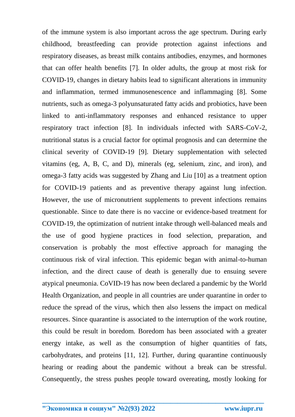of the immune system is also important across the age spectrum. During early childhood, breastfeeding can provide protection against infections and respiratory diseases, as breast milk contains antibodies, enzymes, and hormones that can offer health benefits [7]. In older adults, the group at most risk for COVID-19, changes in dietary habits lead to significant alterations in immunity and inflammation, termed immunosenescence and inflammaging [8]. Some nutrients, such as omega-3 polyunsaturated fatty acids and probiotics, have been linked to anti-inflammatory responses and enhanced resistance to upper respiratory tract infection [8]. In individuals infected with SARS-CoV-2, nutritional status is a crucial factor for optimal prognosis and can determine the clinical severity of COVID-19 [9]. Dietary supplementation with selected vitamins (eg, A, B, C, and D), minerals (eg, selenium, zinc, and iron), and omega-3 fatty acids was suggested by Zhang and Liu [10] as a treatment option for COVID-19 patients and as preventive therapy against lung infection. However, the use of micronutrient supplements to prevent infections remains questionable. Since to date there is no vaccine or evidence-based treatment for COVID-19, the optimization of nutrient intake through well-balanced meals and the use of good hygiene practices in food selection, preparation, and conservation is probably the most effective approach for managing the continuous risk of viral infection. This epidemic began with animal-to-human infection, and the direct cause of death is generally due to ensuing severe atypical pneumonia. CoVID-19 has now been declared a pandemic by the World Health Organization, and people in all countries are under quarantine in order to reduce the spread of the virus, which then also lessens the impact on medical resources. Since quarantine is associated to the interruption of the work routine, this could be result in boredom. Boredom has been associated with a greater energy intake, as well as the consumption of higher quantities of fats, carbohydrates, and proteins [11, 12]. Further, during quarantine continuously hearing or reading about the pandemic without a break can be stressful. Consequently, the stress pushes people toward overeating, mostly looking for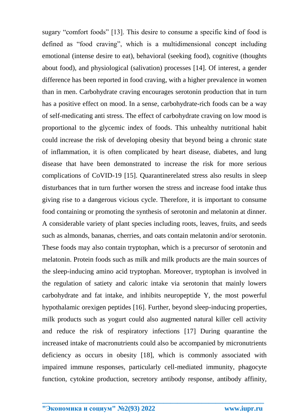sugary "comfort foods" [13]. This desire to consume a specific kind of food is defined as "food craving", which is a multidimensional concept including emotional (intense desire to eat), behavioral (seeking food), cognitive (thoughts about food), and physiological (salivation) processes [14]. Of interest, a gender difference has been reported in food craving, with a higher prevalence in women than in men. Carbohydrate craving encourages serotonin production that in turn has a positive effect on mood. In a sense, carbohydrate-rich foods can be a way of self-medicating anti stress. The effect of carbohydrate craving on low mood is proportional to the glycemic index of foods. This unhealthy nutritional habit could increase the risk of developing obesity that beyond being a chronic state of inflammation, it is often complicated by heart disease, diabetes, and lung disease that have been demonstrated to increase the risk for more serious complications of CoVID-19 [15]. Quarantinerelated stress also results in sleep disturbances that in turn further worsen the stress and increase food intake thus giving rise to a dangerous vicious cycle. Therefore, it is important to consume food containing or promoting the synthesis of serotonin and melatonin at dinner. A considerable variety of plant species including roots, leaves, fruits, and seeds such as almonds, bananas, cherries, and oats contain melatonin and/or serotonin. These foods may also contain tryptophan, which is a precursor of serotonin and melatonin. Protein foods such as milk and milk products are the main sources of the sleep-inducing amino acid tryptophan. Moreover, tryptophan is involved in the regulation of satiety and caloric intake via serotonin that mainly lowers carbohydrate and fat intake, and inhibits neuropeptide Y, the most powerful hypothalamic orexigen peptides [16]. Further, beyond sleep-inducing properties, milk products such as yogurt could also augmented natural killer cell activity and reduce the risk of respiratory infections [17] During quarantine the increased intake of macronutrients could also be accompanied by micronutrients deficiency as occurs in obesity [18], which is commonly associated with impaired immune responses, particularly cell-mediated immunity, phagocyte function, cytokine production, secretory antibody response, antibody affinity,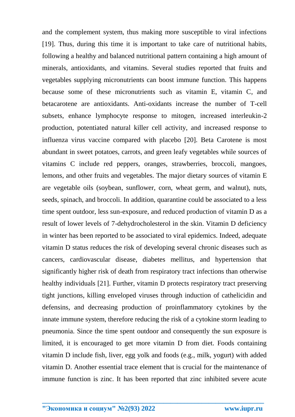and the complement system, thus making more susceptible to viral infections [19]. Thus, during this time it is important to take care of nutritional habits, following a healthy and balanced nutritional pattern containing a high amount of minerals, antioxidants, and vitamins. Several studies reported that fruits and vegetables supplying micronutrients can boost immune function. This happens because some of these micronutrients such as vitamin E, vitamin C, and betacarotene are antioxidants. Anti-oxidants increase the number of T-cell subsets, enhance lymphocyte response to mitogen, increased interleukin-2 production, potentiated natural killer cell activity, and increased response to influenza virus vaccine compared with placebo [20]. Beta Carotene is most abundant in sweet potatoes, carrots, and green leafy vegetables while sources of vitamins C include red peppers, oranges, strawberries, broccoli, mangoes, lemons, and other fruits and vegetables. The major dietary sources of vitamin E are vegetable oils (soybean, sunflower, corn, wheat germ, and walnut), nuts, seeds, spinach, and broccoli. In addition, quarantine could be associated to a less time spent outdoor, less sun-exposure, and reduced production of vitamin D as a result of lower levels of 7-dehydrocholesterol in the skin. Vitamin D deficiency in winter has been reported to be associated to viral epidemics. Indeed, adequate vitamin D status reduces the risk of developing several chronic diseases such as cancers, cardiovascular disease, diabetes mellitus, and hypertension that significantly higher risk of death from respiratory tract infections than otherwise healthy individuals [21]. Further, vitamin D protects respiratory tract preserving tight junctions, killing enveloped viruses through induction of cathelicidin and defensins, and decreasing production of proinflammatory cytokines by the innate immune system, therefore reducing the risk of a cytokine storm leading to pneumonia. Since the time spent outdoor and consequently the sun exposure is limited, it is encouraged to get more vitamin D from diet. Foods containing vitamin D include fish, liver, egg yolk and foods (e.g., milk, yogurt) with added vitamin D. Another essential trace element that is crucial for the maintenance of immune function is zinc. It has been reported that zinc inhibited severe acute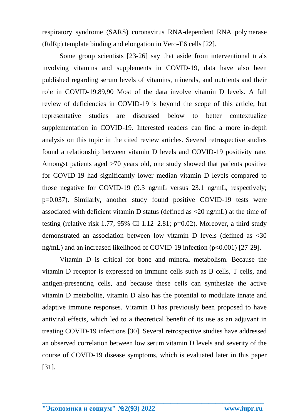respiratory syndrome (SARS) coronavirus RNA-dependent RNA polymerase (RdRp) template binding and elongation in Vero-E6 cells [22].

Some group scientists [23-26] say that aside from interventional trials involving vitamins and supplements in COVID-19, data have also been published regarding serum levels of vitamins, minerals, and nutrients and their role in COVID-19.89,90 Most of the data involve vitamin D levels. A full review of deficiencies in COVID-19 is beyond the scope of this article, but representative studies are discussed below to better contextualize supplementation in COVID-19. Interested readers can find a more in-depth analysis on this topic in the cited review articles. Several retrospective studies found a relationship between vitamin D levels and COVID-19 positivity rate. Amongst patients aged >70 years old, one study showed that patients positive for COVID-19 had significantly lower median vitamin D levels compared to those negative for COVID-19 (9.3 ng/mL versus 23.1 ng/mL, respectively; p=0.037). Similarly, another study found positive COVID-19 tests were associated with deficient vitamin D status (defined as <20 ng/mL) at the time of testing (relative risk 1.77, 95% CI 1.12–2.81; p=0.02). Moreover, a third study demonstrated an association between low vitamin D levels (defined as <30 ng/mL) and an increased likelihood of COVID-19 infection (p<0.001) [27-29].

Vitamin D is critical for bone and mineral metabolism. Because the vitamin D receptor is expressed on immune cells such as B cells, T cells, and antigen-presenting cells, and because these cells can synthesize the active vitamin D metabolite, vitamin D also has the potential to modulate innate and adaptive immune responses. Vitamin D has previously been proposed to have antiviral effects, which led to a theoretical benefit of its use as an adjuvant in treating COVID-19 infections [30]. Several retrospective studies have addressed an observed correlation between low serum vitamin D levels and severity of the course of COVID-19 disease symptoms, which is evaluated later in this paper [31].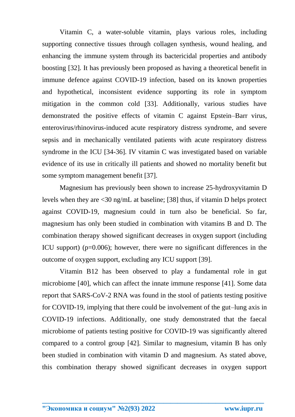Vitamin C, a water-soluble vitamin, plays various roles, including supporting connective tissues through collagen synthesis, wound healing, and enhancing the immune system through its bactericidal properties and antibody boosting [32]. It has previously been proposed as having a theoretical benefit in immune defence against COVID-19 infection, based on its known properties and hypothetical, inconsistent evidence supporting its role in symptom mitigation in the common cold [33]. Additionally, various studies have demonstrated the positive effects of vitamin C against Epstein–Barr virus, enterovirus/rhinovirus-induced acute respiratory distress syndrome, and severe sepsis and in mechanically ventilated patients with acute respiratory distress syndrome in the ICU [34-36]. IV vitamin C was investigated based on variable evidence of its use in critically ill patients and showed no mortality benefit but some symptom management benefit [37].

Magnesium has previously been shown to increase 25-hydroxyvitamin D levels when they are <30 ng/mL at baseline; [38] thus, if vitamin D helps protect against COVID-19, magnesium could in turn also be beneficial. So far, magnesium has only been studied in combination with vitamins B and D. The combination therapy showed significant decreases in oxygen support (including ICU support) (p=0.006); however, there were no significant differences in the outcome of oxygen support, excluding any ICU support [39].

Vitamin B12 has been observed to play a fundamental role in gut microbiome [40], which can affect the innate immune response [41]. Some data report that SARS-CoV-2 RNA was found in the stool of patients testing positive for COVID-19, implying that there could be involvement of the gut–lung axis in COVID-19 infections. Additionally, one study demonstrated that the faecal microbiome of patients testing positive for COVID-19 was significantly altered compared to a control group [42]. Similar to magnesium, vitamin B has only been studied in combination with vitamin D and magnesium. As stated above, this combination therapy showed significant decreases in oxygen support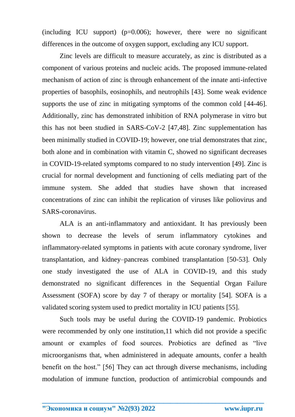(including ICU support) ( $p=0.006$ ); however, there were no significant differences in the outcome of oxygen support, excluding any ICU support.

Zinc levels are difficult to measure accurately, as zinc is distributed as a component of various proteins and nucleic acids. The proposed immune-related mechanism of action of zinc is through enhancement of the innate anti-infective properties of basophils, eosinophils, and neutrophils [43]. Some weak evidence supports the use of zinc in mitigating symptoms of the common cold [44-46]. Additionally, zinc has demonstrated inhibition of RNA polymerase in vitro but this has not been studied in SARS-CoV-2 [47,48]. Zinc supplementation has been minimally studied in COVID-19; however, one trial demonstrates that zinc, both alone and in combination with vitamin C, showed no significant decreases in COVID-19-related symptoms compared to no study intervention [49]. Zinc is crucial for normal development and functioning of cells mediating part of the immune system. She added that studies have shown that increased concentrations of zinc can inhibit the replication of viruses like poliovirus and SARS-coronavirus.

ALA is an anti-inflammatory and antioxidant. It has previously been shown to decrease the levels of serum inflammatory cytokines and inflammatory-related symptoms in patients with acute coronary syndrome, liver transplantation, and kidney–pancreas combined transplantation [50-53]. Only one study investigated the use of ALA in COVID-19, and this study demonstrated no significant differences in the Sequential Organ Failure Assessment (SOFA) score by day 7 of therapy or mortality [54]. SOFA is a validated scoring system used to predict mortality in ICU patients [55].

Such tools may be useful during the COVID-19 pandemic. Probiotics were recommended by only one institution,11 which did not provide a specific amount or examples of food sources. Probiotics are defined as "live microorganisms that, when administered in adequate amounts, confer a health benefit on the host." [56] They can act through diverse mechanisms, including modulation of immune function, production of antimicrobial compounds and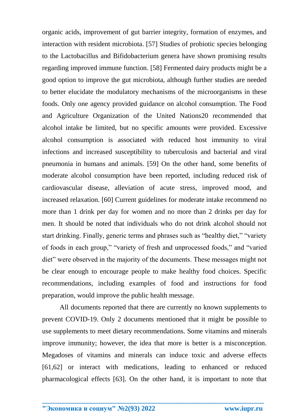organic acids, improvement of gut barrier integrity, formation of enzymes, and interaction with resident microbiota. [57] Studies of probiotic species belonging to the Lactobacillus and Bifidobacterium genera have shown promising results regarding improved immune function. [58] Fermented dairy products might be a good option to improve the gut microbiota, although further studies are needed to better elucidate the modulatory mechanisms of the microorganisms in these foods. Only one agency provided guidance on alcohol consumption. The Food and Agriculture Organization of the United Nations20 recommended that alcohol intake be limited, but no specific amounts were provided. Excessive alcohol consumption is associated with reduced host immunity to viral infections and increased susceptibility to tuberculosis and bacterial and viral pneumonia in humans and animals. [59] On the other hand, some benefits of moderate alcohol consumption have been reported, including reduced risk of cardiovascular disease, alleviation of acute stress, improved mood, and increased relaxation. [60] Current guidelines for moderate intake recommend no more than 1 drink per day for women and no more than 2 drinks per day for men. It should be noted that individuals who do not drink alcohol should not start drinking. Finally, generic terms and phrases such as "healthy diet," "variety of foods in each group," "variety of fresh and unprocessed foods," and "varied diet" were observed in the majority of the documents. These messages might not be clear enough to encourage people to make healthy food choices. Specific recommendations, including examples of food and instructions for food preparation, would improve the public health message.

All documents reported that there are currently no known supplements to prevent COVID-19. Only 2 documents mentioned that it might be possible to use supplements to meet dietary recommendations. Some vitamins and minerals improve immunity; however, the idea that more is better is a misconception. Megadoses of vitamins and minerals can induce toxic and adverse effects [61,62] or interact with medications, leading to enhanced or reduced pharmacological effects [63]. On the other hand, it is important to note that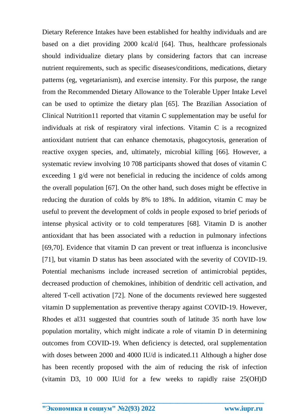Dietary Reference Intakes have been established for healthy individuals and are based on a diet providing 2000 kcal/d [64]. Thus, healthcare professionals should individualize dietary plans by considering factors that can increase nutrient requirements, such as specific diseases/conditions, medications, dietary patterns (eg, vegetarianism), and exercise intensity. For this purpose, the range from the Recommended Dietary Allowance to the Tolerable Upper Intake Level can be used to optimize the dietary plan [65]. The Brazilian Association of Clinical Nutrition11 reported that vitamin C supplementation may be useful for individuals at risk of respiratory viral infections. Vitamin C is a recognized antioxidant nutrient that can enhance chemotaxis, phagocytosis, generation of reactive oxygen species, and, ultimately, microbial killing [66]. However, a systematic review involving 10 708 participants showed that doses of vitamin C exceeding 1 g/d were not beneficial in reducing the incidence of colds among the overall population [67]. On the other hand, such doses might be effective in reducing the duration of colds by 8% to 18%. In addition, vitamin C may be useful to prevent the development of colds in people exposed to brief periods of intense physical activity or to cold temperatures [68]. Vitamin D is another antioxidant that has been associated with a reduction in pulmonary infections [69,70]. Evidence that vitamin D can prevent or treat influenza is inconclusive [71], but vitamin D status has been associated with the severity of COVID-19. Potential mechanisms include increased secretion of antimicrobial peptides, decreased production of chemokines, inhibition of dendritic cell activation, and altered T-cell activation [72]. None of the documents reviewed here suggested vitamin D supplementation as preventive therapy against COVID-19. However, Rhodes et al31 suggested that countries south of latitude 35 north have low population mortality, which might indicate a role of vitamin D in determining outcomes from COVID-19. When deficiency is detected, oral supplementation with doses between 2000 and 4000 IU/d is indicated.11 Although a higher dose has been recently proposed with the aim of reducing the risk of infection (vitamin D3, 10 000 IU/d for a few weeks to rapidly raise 25(OH)D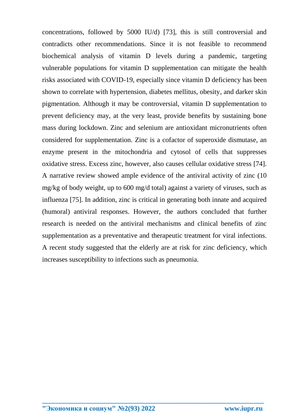concentrations, followed by 5000 IU/d) [73], this is still controversial and contradicts other recommendations. Since it is not feasible to recommend biochemical analysis of vitamin D levels during a pandemic, targeting vulnerable populations for vitamin D supplementation can mitigate the health risks associated with COVID-19, especially since vitamin D deficiency has been shown to correlate with hypertension, diabetes mellitus, obesity, and darker skin pigmentation. Although it may be controversial, vitamin D supplementation to prevent deficiency may, at the very least, provide benefits by sustaining bone mass during lockdown. Zinc and selenium are antioxidant micronutrients often considered for supplementation. Zinc is a cofactor of superoxide dismutase, an enzyme present in the mitochondria and cytosol of cells that suppresses oxidative stress. Excess zinc, however, also causes cellular oxidative stress [74]. A narrative review showed ample evidence of the antiviral activity of zinc (10 mg/kg of body weight, up to 600 mg/d total) against a variety of viruses, such as influenza [75]. In addition, zinc is critical in generating both innate and acquired (humoral) antiviral responses. However, the authors concluded that further research is needed on the antiviral mechanisms and clinical benefits of zinc supplementation as a preventative and therapeutic treatment for viral infections. A recent study suggested that the elderly are at risk for zinc deficiency, which increases susceptibility to infections such as pneumonia.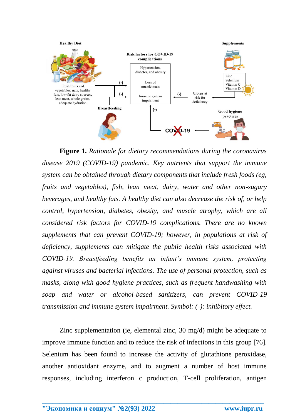

**Figure 1.** *Rationale for dietary recommendations during the coronavirus disease 2019 (COVID-19) pandemic. Key nutrients that support the immune system can be obtained through dietary components that include fresh foods (eg, fruits and vegetables), fish, lean meat, dairy, water and other non-sugary beverages, and healthy fats. A healthy diet can also decrease the risk of, or help control, hypertension, diabetes, obesity, and muscle atrophy, which are all considered risk factors for COVID-19 complications. There are no known supplements that can prevent COVID-19; however, in populations at risk of deficiency, supplements can mitigate the public health risks associated with COVID-19. Breastfeeding benefits an infant's immune system, protecting against viruses and bacterial infections. The use of personal protection, such as masks, along with good hygiene practices, such as frequent handwashing with soap and water or alcohol-based sanitizers, can prevent COVID-19 transmission and immune system impairment. Symbol: (-): inhibitory effect.*

Zinc supplementation (ie, elemental zinc, 30 mg/d) might be adequate to improve immune function and to reduce the risk of infections in this group [76]. Selenium has been found to increase the activity of glutathione peroxidase, another antioxidant enzyme, and to augment a number of host immune responses, including interferon c production, T-cell proliferation, antigen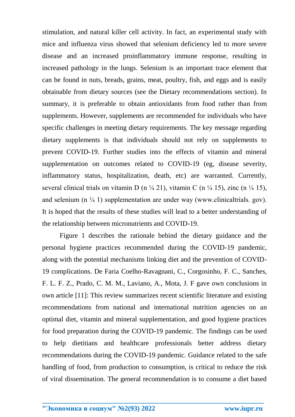stimulation, and natural killer cell activity. In fact, an experimental study with mice and influenza virus showed that selenium deficiency led to more severe disease and an increased proinflammatory immune response, resulting in increased pathology in the lungs. Selenium is an important trace element that can be found in nuts, breads, grains, meat, poultry, fish, and eggs and is easily obtainable from dietary sources (see the Dietary recommendations section). In summary, it is preferable to obtain antioxidants from food rather than from supplements. However, supplements are recommended for individuals who have specific challenges in meeting dietary requirements. The key message regarding dietary supplements is that individuals should not rely on supplements to prevent COVID-19. Further studies into the effects of vitamin and mineral supplementation on outcomes related to COVID-19 (eg, disease severity, inflammatory status, hospitalization, death, etc) are warranted. Currently, several clinical trials on vitamin D (n  $\frac{1}{4}$  21), vitamin C (n  $\frac{1}{4}$  15), zinc (n  $\frac{1}{4}$  15), and selenium  $(n \frac{1}{4} 1)$  supplementation are under way (www.clinicaltrials. gov). It is hoped that the results of these studies will lead to a better understanding of the relationship between micronutrients and COVID-19.

Figure 1 describes the rationale behind the dietary guidance and the personal hygiene practices recommended during the COVID-19 pandemic, along with the potential mechanisms linking diet and the prevention of COVID-19 complications. De Faria Coelho-Ravagnani, C., Corgosinho, F. C., Sanches, F. L. F. Z., Prado, C. M. M., Laviano, A., Mota, J. F gave own conclusions in own article [11]: This review summarizes recent scientific literature and existing recommendations from national and international nutrition agencies on an optimal diet, vitamin and mineral supplementation, and good hygiene practices for food preparation during the COVID-19 pandemic. The findings can be used to help dietitians and healthcare professionals better address dietary recommendations during the COVID-19 pandemic. Guidance related to the safe handling of food, from production to consumption, is critical to reduce the risk of viral dissemination. The general recommendation is to consume a diet based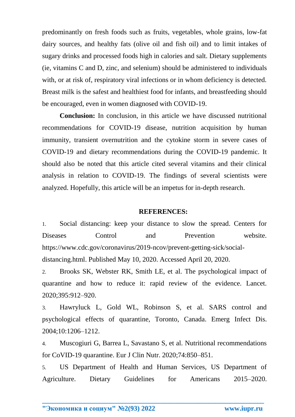predominantly on fresh foods such as fruits, vegetables, whole grains, low-fat dairy sources, and healthy fats (olive oil and fish oil) and to limit intakes of sugary drinks and processed foods high in calories and salt. Dietary supplements (ie, vitamins C and D, zinc, and selenium) should be administered to individuals with, or at risk of, respiratory viral infections or in whom deficiency is detected. Breast milk is the safest and healthiest food for infants, and breastfeeding should be encouraged, even in women diagnosed with COVID-19.

**Conclusion:** In conclusion, in this article we have discussed nutritional recommendations for COVID-19 disease, nutrition acquisition by human immunity, transient overnutrition and the cytokine storm in severe cases of COVID-19 and dietary recommendations during the COVID-19 pandemic. It should also be noted that this article cited several vitamins and their clinical analysis in relation to COVID-19. The findings of several scientists were analyzed. Hopefully, this article will be an impetus for in-depth research.

## **REFERENCES:**

1. Social distancing: keep your distance to slow the spread. Centers for Diseases Control and Prevention website. https://www.cdc.gov/coronavirus/2019-ncov/prevent-getting-sick/socialdistancing.html. Published May 10, 2020. Accessed April 20, 2020.

2. Brooks SK, Webster RK, Smith LE, et al. The psychological impact of quarantine and how to reduce it: rapid review of the evidence. Lancet. 2020;395:912–920.

3. Hawryluck L, Gold WL, Robinson S, et al. SARS control and psychological effects of quarantine, Toronto, Canada. Emerg Infect Dis. 2004;10:1206–1212.

4. Muscogiuri G, Barrea L, Savastano S, et al. Nutritional recommendations for CoVID-19 quarantine. Eur J Clin Nutr. 2020;74:850–851.

5. US Department of Health and Human Services, US Department of Agriculture. Dietary Guidelines for Americans 2015–2020.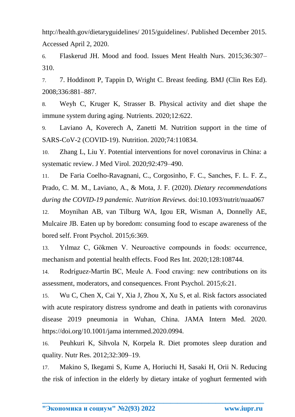http://health.gov/dietaryguidelines/ 2015/guidelines/. Published December 2015. Accessed April 2, 2020.

6. Flaskerud JH. Mood and food. Issues Ment Health Nurs. 2015;36:307– 310.

7. 7. Hoddinott P, Tappin D, Wright C. Breast feeding. BMJ (Clin Res Ed). 2008;336:881–887.

8. Weyh C, Kruger K, Strasser B. Physical activity and diet shape the immune system during aging. Nutrients. 2020;12:622.

9. Laviano A, Koverech A, Zanetti M. Nutrition support in the time of SARS-CoV-2 (COVID-19). Nutrition. 2020;74:110834.

10. Zhang L, Liu Y. Potential interventions for novel coronavirus in China: a systematic review. J Med Virol. 2020;92:479–490.

11. De Faria Coelho-Ravagnani, C., Corgosinho, F. C., Sanches, F. L. F. Z., Prado, C. M. M., Laviano, A., & Mota, J. F. (2020). *Dietary recommendations during the COVID-19 pandemic. Nutrition Reviews.* doi:10.1093/nutrit/nuaa067

12. Moynihan AB, van Tilburg WA, Igou ER, Wisman A, Donnelly AE, Mulcaire JB. Eaten up by boredom: consuming food to escape awareness of the bored self. Front Psychol. 2015;6:369.

13. Yılmaz C, Gökmen V. Neuroactive compounds in foods: occurrence, mechanism and potential health effects. Food Res Int. 2020;128:108744.

14. Rodríguez-Martín BC, Meule A. Food craving: new contributions on its assessment, moderators, and consequences. Front Psychol. 2015;6:21.

15. Wu C, Chen X, Cai Y, Xia J, Zhou X, Xu S, et al. Risk factors associated with acute respiratory distress syndrome and death in patients with coronavirus disease 2019 pneumonia in Wuhan, China. JAMA Intern Med. 2020. https://doi.org/10.1001/jama internmed.2020.0994.

16. Peuhkuri K, Sihvola N, Korpela R. Diet promotes sleep duration and quality. Nutr Res. 2012;32:309–19.

17. Makino S, Ikegami S, Kume A, Horiuchi H, Sasaki H, Orii N. Reducing the risk of infection in the elderly by dietary intake of yoghurt fermented with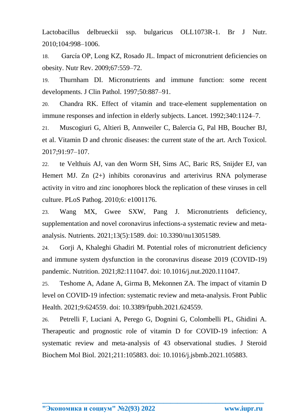Lactobacillus delbrueckii ssp. bulgaricus OLL1073R-1. Br J Nutr. 2010;104:998–1006.

18. García OP, Long KZ, Rosado JL. Impact of micronutrient deficiencies on obesity. Nutr Rev. 2009;67:559–72.

19. Thurnham DI. Micronutrients and immune function: some recent developments. J Clin Pathol. 1997;50:887–91.

20. Chandra RK. Effect of vitamin and trace-element supplementation on immune responses and infection in elderly subjects. Lancet. 1992;340:1124–7.

21. Muscogiuri G, Altieri B, Annweiler C, Balercia G, Pal HB, Boucher BJ, et al. Vitamin D and chronic diseases: the current state of the art. Arch Toxicol. 2017;91:97–107.

22. te Velthuis AJ, van den Worm SH, Sims AC, Baric RS, Snijder EJ, van Hemert MJ. Zn (2+) inhibits coronavirus and arterivirus RNA polymerase activity in vitro and zinc ionophores block the replication of these viruses in cell culture. PLoS Pathog. 2010;6: e1001176.

23. Wang MX, Gwee SXW, Pang J. Micronutrients deficiency, supplementation and novel coronavirus infections-a systematic review and metaanalysis. Nutrients. 2021;13(5):1589. doi: 10.3390/nu13051589.

24. Gorji A, Khaleghi Ghadiri M. Potential roles of micronutrient deficiency and immune system dysfunction in the coronavirus disease 2019 (COVID-19) pandemic. Nutrition. 2021;82:111047. doi: 10.1016/j.nut.2020.111047.

25. Teshome A, Adane A, Girma B, Mekonnen ZA. The impact of vitamin D level on COVID-19 infection: systematic review and meta-analysis. Front Public Health. 2021;9:624559. doi: 10.3389/fpubh.2021.624559.

26. Petrelli F, Luciani A, Perego G, Dognini G, Colombelli PL, Ghidini A. Therapeutic and prognostic role of vitamin D for COVID-19 infection: A systematic review and meta-analysis of 43 observational studies. J Steroid Biochem Mol Biol. 2021;211:105883. doi: 10.1016/j.jsbmb.2021.105883.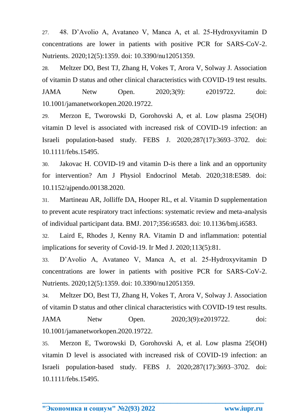27. 48. D'Avolio A, Avataneo V, Manca A, et al. 25-Hydroxyvitamin D concentrations are lower in patients with positive PCR for SARS-CoV-2. Nutrients. 2020;12(5):1359. doi: 10.3390/nu12051359.

28. Meltzer DO, Best TJ, Zhang H, Vokes T, Arora V, Solway J. Association of vitamin D status and other clinical characteristics with COVID-19 test results.

JAMA Netw Open. 2020;3(9): e2019722. doi: 10.1001/jamanetworkopen.2020.19722.

29. Merzon E, Tworowski D, Gorohovski A, et al. Low plasma 25(OH) vitamin D level is associated with increased risk of COVID-19 infection: an Israeli population-based study. FEBS J. 2020;287(17):3693–3702. doi: 10.1111/febs.15495.

30. Jakovac H. COVID-19 and vitamin D-is there a link and an opportunity for intervention? Am J Physiol Endocrinol Metab. 2020;318:E589. doi: 10.1152/ajpendo.00138.2020.

31. Martineau AR, Jolliffe DA, Hooper RL, et al. Vitamin D supplementation to prevent acute respiratory tract infections: systematic review and meta-analysis of individual participant data. BMJ. 2017;356:i6583. doi: 10.1136/bmj.i6583.

32. Laird E, Rhodes J, Kenny RA. Vitamin D and inflammation: potential implications for severity of Covid-19. Ir Med J. 2020;113(5):81.

33. D'Avolio A, Avataneo V, Manca A, et al. 25-Hydroxyvitamin D concentrations are lower in patients with positive PCR for SARS-CoV-2. Nutrients. 2020;12(5):1359. doi: 10.3390/nu12051359.

34. Meltzer DO, Best TJ, Zhang H, Vokes T, Arora V, Solway J. Association of vitamin D status and other clinical characteristics with COVID-19 test results. JAMA Netw Open. 2020;3(9):e2019722. doi: 10.1001/jamanetworkopen.2020.19722.

35. Merzon E, Tworowski D, Gorohovski A, et al. Low plasma 25(OH) vitamin D level is associated with increased risk of COVID-19 infection: an Israeli population-based study. FEBS J. 2020;287(17):3693–3702. doi: 10.1111/febs.15495.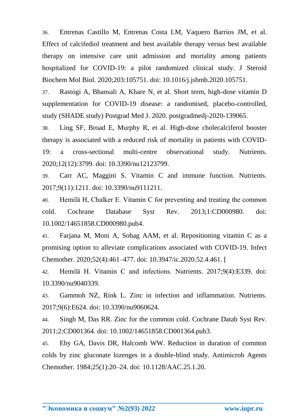36. Entrenas Castillo M, Entrenas Costa LM, Vaquero Barrios JM, et al. Effect of calcifediol treatment and best available therapy versus best available therapy on intensive care unit admission and mortality among patients hospitalized for COVID-19: a pilot randomized clinical study. J Steroid Biochem Mol Biol. 2020;203:105751. doi: 10.1016/j.jsbmb.2020.105751.

37. Rastogi A, Bhansali A, Khare N, et al. Short term, high-dose vitamin D supplementation for COVID-19 disease: a randomised, placebo-controlled, study (SHADE study) Postgrad Med J. 2020. postgradmedj-2020-139065.

38. Ling SF, Broad E, Murphy R, et al. High-dose cholecalciferol booster therapy is associated with a reduced risk of mortality in patients with COVID-19: a cross-sectional multi-centre observational study. Nutrients. 2020;12(12):3799. doi: 10.3390/nu12123799.

39. Carr AC, Maggini S. Vitamin C and immune function. Nutrients. 2017;9(11):1211. doi: 10.3390/nu9111211.

40. Hemilä H, Chalker E. Vitamin C for preventing and treating the common cold. Cochrane Database Syst Rev. 2013;1:CD000980. doi: 10.1002/14651858.CD000980.pub4.

41. Farjana M, Moni A, Sohag AAM, et al. Repositioning vitamin C as a promising option to alleviate complications associated with COVID-19. Infect Chemother. 2020;52(4):461–477. doi: 10.3947/ic.2020.52.4.461. [

42. Hemilä H. Vitamin C and infections. Nutrients. 2017;9(4):E339. doi: 10.3390/nu9040339.

43. Gammoh NZ, Rink L. Zinc in infection and inflammation. Nutrients. 2017;9(6):E624. doi: 10.3390/nu9060624.

44. Singh M, Das RR. Zinc for the common cold. Cochrane Datab Syst Rev. 2011;2:CD001364. doi: 10.1002/14651858.CD001364.pub3.

45. Eby GA, Davis DR, Halcomb WW. Reduction in duration of common colds by zinc gluconate lozenges in a double-blind study. Antimicrob Agents Chemother. 1984;25(1):20–24. doi: 10.1128/AAC.25.1.20.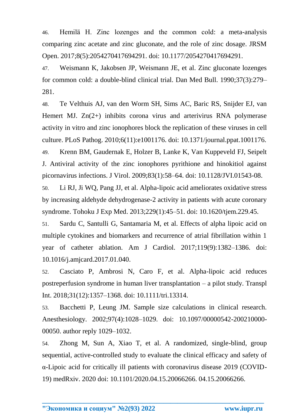46. Hemilä H. Zinc lozenges and the common cold: a meta-analysis comparing zinc acetate and zinc gluconate, and the role of zinc dosage. JRSM Open. 2017;8(5):2054270417694291. doi: 10.1177/2054270417694291.

47. Weismann K, Jakobsen JP, Weismann JE, et al. Zinc gluconate lozenges for common cold: a double-blind clinical trial. Dan Med Bull. 1990;37(3):279– 281.

48. Te Velthuis AJ, van den Worm SH, Sims AC, Baric RS, Snijder EJ, van Hemert MJ. Zn(2+) inhibits corona virus and arterivirus RNA polymerase activity in vitro and zinc ionophores block the replication of these viruses in cell culture. PLoS Pathog. 2010;6(11):e1001176. doi: 10.1371/journal.ppat.1001176. 49. Krenn BM, Gaudernak E, Holzer B, Lanke K, Van Kuppeveld FJ, Seipelt J. Antiviral activity of the zinc ionophores pyrithione and hinokitiol against picornavirus infections. J Virol. 2009;83(1):58–64. doi: 10.1128/JVI.01543-08.

50. Li RJ, Ji WQ, Pang JJ, et al. Alpha-lipoic acid ameliorates oxidative stress by increasing aldehyde dehydrogenase-2 activity in patients with acute coronary syndrome. Tohoku J Exp Med. 2013;229(1):45–51. doi: 10.1620/tjem.229.45.

51. Sardu C, Santulli G, Santamaria M, et al. Effects of alpha lipoic acid on multiple cytokines and biomarkers and recurrence of atrial fibrillation within 1 year of catheter ablation. Am J Cardiol. 2017;119(9):1382–1386. doi: 10.1016/j.amjcard.2017.01.040.

52. Casciato P, Ambrosi N, Caro F, et al. Alpha-lipoic acid reduces postreperfusion syndrome in human liver transplantation – a pilot study. Transpl Int. 2018;31(12):1357–1368. doi: 10.1111/tri.13314.

53. Bacchetti P, Leung JM. Sample size calculations in clinical research. Anesthesiology. 2002;97(4):1028–1029. doi: 10.1097/00000542-200210000- 00050. author reply 1029–1032.

54. Zhong M, Sun A, Xiao T, et al. A randomized, single-blind, group sequential, active-controlled study to evaluate the clinical efficacy and safety of α-Lipoic acid for critically ill patients with coronavirus disease 2019 (COVID-19) medRxiv. 2020 doi: 10.1101/2020.04.15.20066266. 04.15.20066266.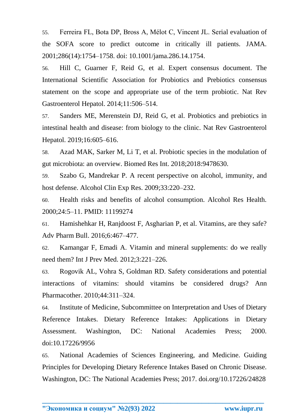55. Ferreira FL, Bota DP, Bross A, Mélot C, Vincent JL. Serial evaluation of the SOFA score to predict outcome in critically ill patients. JAMA. 2001;286(14):1754–1758. doi: 10.1001/jama.286.14.1754.

56. Hill C, Guarner F, Reid G, et al. Expert consensus document. The International Scientific Association for Probiotics and Prebiotics consensus statement on the scope and appropriate use of the term probiotic. Nat Rev Gastroenterol Hepatol. 2014;11:506–514.

57. Sanders ME, Merenstein DJ, Reid G, et al. Probiotics and prebiotics in intestinal health and disease: from biology to the clinic. Nat Rev Gastroenterol Hepatol. 2019;16:605–616.

58. Azad MAK, Sarker M, Li T, et al. Probiotic species in the modulation of gut microbiota: an overview. Biomed Res Int. 2018;2018:9478630.

59. Szabo G, Mandrekar P. A recent perspective on alcohol, immunity, and host defense. Alcohol Clin Exp Res. 2009;33:220–232.

60. Health risks and benefits of alcohol consumption. Alcohol Res Health. 2000;24:5–11. PMID: 11199274

61. Hamishehkar H, Ranjdoost F, Asgharian P, et al. Vitamins, are they safe? Adv Pharm Bull. 2016;6:467–477.

62. Kamangar F, Emadi A. Vitamin and mineral supplements: do we really need them? Int J Prev Med. 2012;3:221–226.

63. Rogovik AL, Vohra S, Goldman RD. Safety considerations and potential interactions of vitamins: should vitamins be considered drugs? Ann Pharmacother. 2010;44:311–324.

64. Institute of Medicine, Subcommittee on Interpretation and Uses of Dietary Reference Intakes. Dietary Reference Intakes: Applications in Dietary Assessment. Washington, DC: National Academies Press; 2000. doi:10.17226/9956

65. National Academies of Sciences Engineering, and Medicine. Guiding Principles for Developing Dietary Reference Intakes Based on Chronic Disease. Washington, DC: The National Academies Press; 2017. doi.org/10.17226/24828